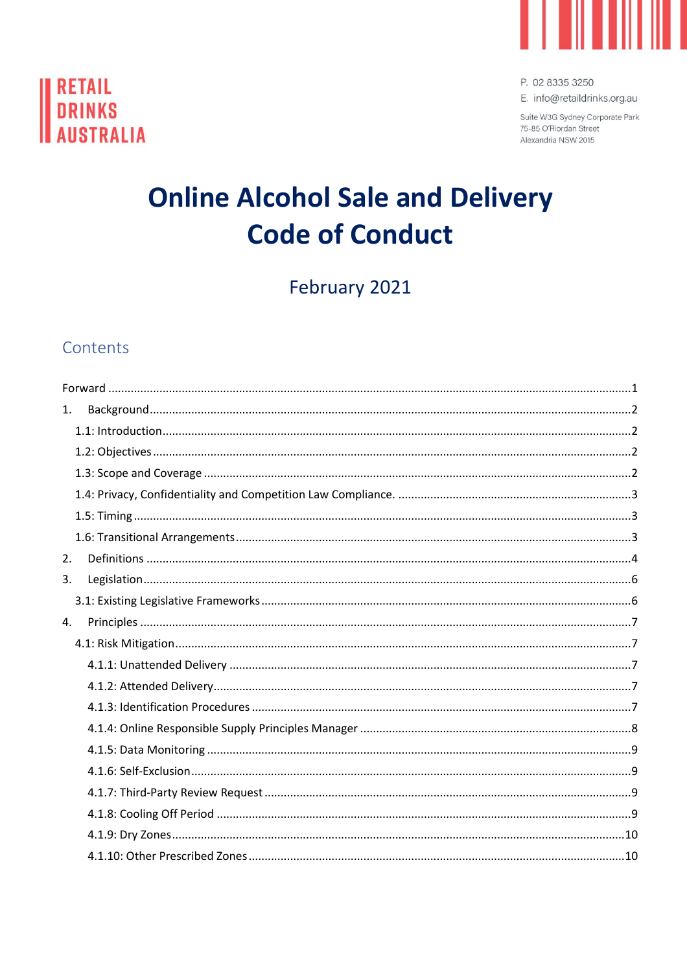



P. 02 8335 3250 E. info@retaildrinks.org.au

Suite W3G Sydney Corporate Park 75-85 O'Riordan Street Alexandria NSW 2015

# **Online Alcohol Sale and Delivery Code of Conduct**

February 2021

## Contents

| 1. |  |  |  |
|----|--|--|--|
|    |  |  |  |
|    |  |  |  |
|    |  |  |  |
|    |  |  |  |
|    |  |  |  |
|    |  |  |  |
| 2. |  |  |  |
| 3. |  |  |  |
|    |  |  |  |
| 4. |  |  |  |
|    |  |  |  |
|    |  |  |  |
|    |  |  |  |
|    |  |  |  |
|    |  |  |  |
|    |  |  |  |
|    |  |  |  |
|    |  |  |  |
|    |  |  |  |
|    |  |  |  |
|    |  |  |  |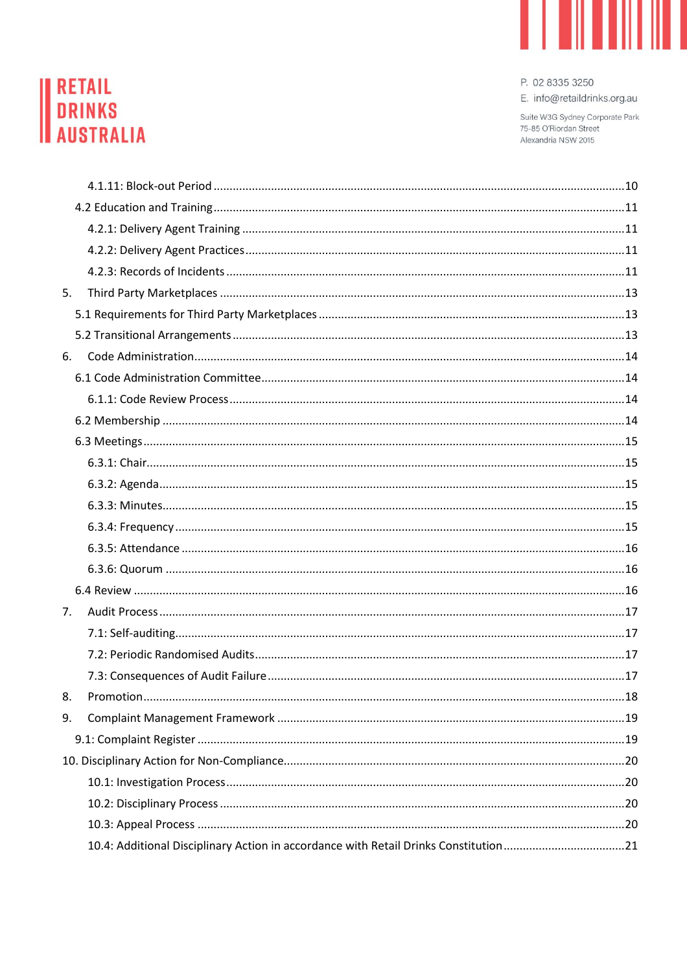

# **RETAIL<br>DRINKS<br>AUSTRALIA**

P. 02 8335 3250

E. info@retaildrinks.org.au

Suite W3G Sydney Corporate Park 75-85 O'Riordan Street Alexandria NSW 2015

| 5. |                                                                                      |  |
|----|--------------------------------------------------------------------------------------|--|
|    |                                                                                      |  |
|    |                                                                                      |  |
| 6. |                                                                                      |  |
|    |                                                                                      |  |
|    |                                                                                      |  |
|    |                                                                                      |  |
|    |                                                                                      |  |
|    |                                                                                      |  |
|    |                                                                                      |  |
|    |                                                                                      |  |
|    |                                                                                      |  |
|    |                                                                                      |  |
|    |                                                                                      |  |
|    |                                                                                      |  |
| 7. |                                                                                      |  |
|    |                                                                                      |  |
|    |                                                                                      |  |
|    |                                                                                      |  |
|    |                                                                                      |  |
| 9. |                                                                                      |  |
|    |                                                                                      |  |
|    |                                                                                      |  |
|    |                                                                                      |  |
|    |                                                                                      |  |
|    |                                                                                      |  |
|    | 10.4: Additional Disciplinary Action in accordance with Retail Drinks Constitution21 |  |
|    |                                                                                      |  |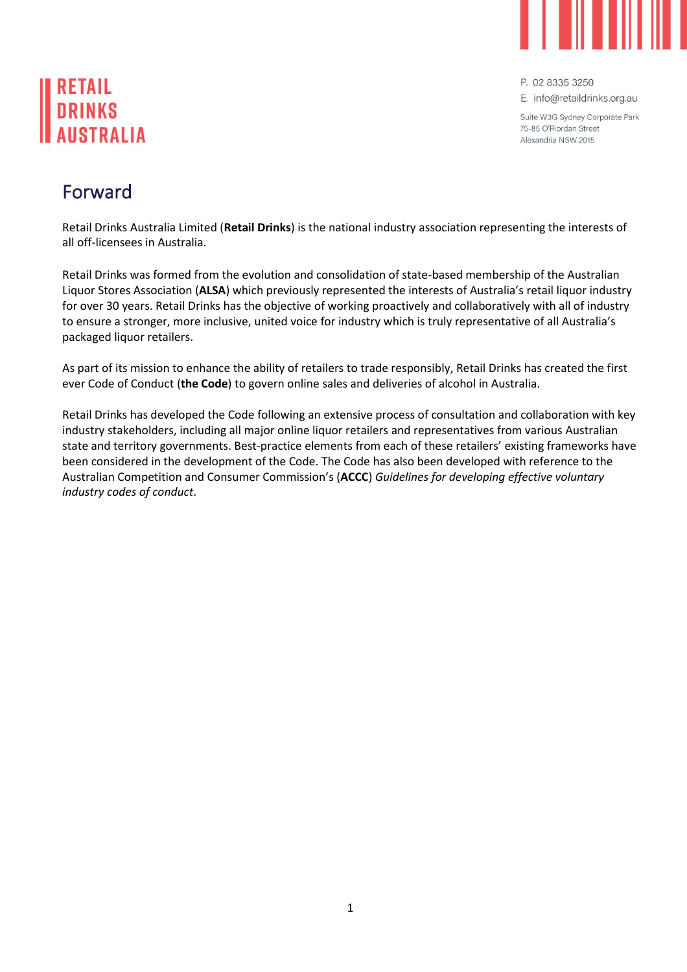

E. info@retaildrinks.org.au

Suite W3G Sydney Corporate Park 75-85 O'Biordan Street Alexandria NSW 2015

# <span id="page-2-0"></span>Forward

Retail Drinks Australia Limited (**Retail Drinks**) is the national industry association representing the interests of all off-licensees in Australia.

Retail Drinks was formed from the evolution and consolidation of state-based membership of the Australian Liquor Stores Association (**ALSA**) which previously represented the interests of Australia's retail liquor industry for over 30 years. Retail Drinks has the objective of working proactively and collaboratively with all of industry to ensure a stronger, more inclusive, united voice for industry which is truly representative of all Australia's packaged liquor retailers.

As part of its mission to enhance the ability of retailers to trade responsibly, Retail Drinks has created the first ever Code of Conduct (**the Code**) to govern online sales and deliveries of alcohol in Australia.

Retail Drinks has developed the Code following an extensive process of consultation and collaboration with key industry stakeholders, including all major online liquor retailers and representatives from various Australian state and territory governments. Best-practice elements from each of these retailers' existing frameworks have been considered in the development of the Code. The Code has also been developed with reference to the Australian Competition and Consumer Commission's (**ACCC**) *Guidelines for developing effective voluntary industry codes of conduct*.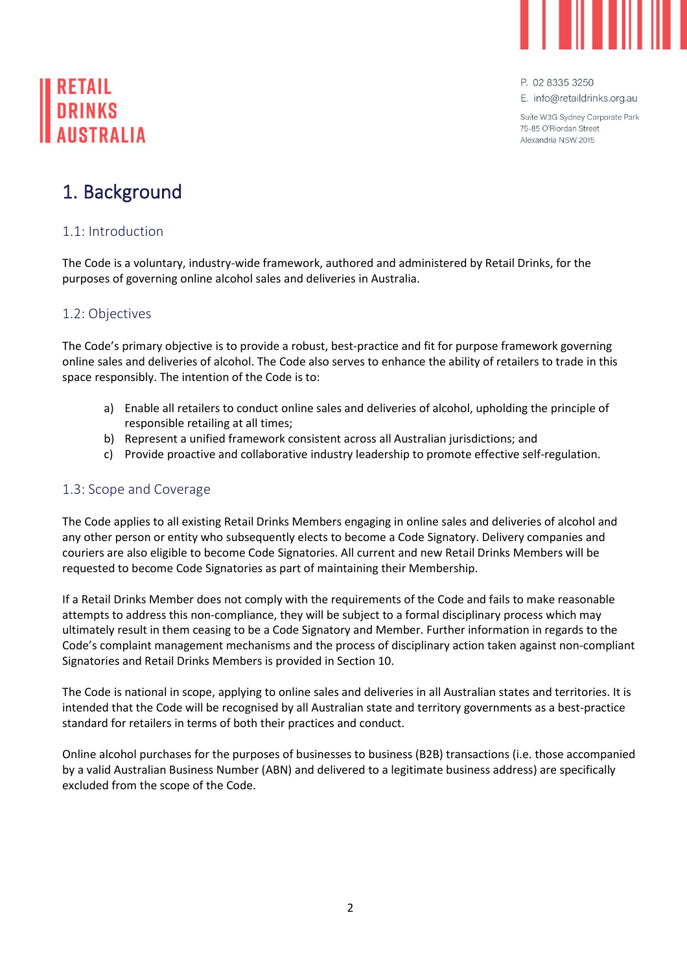

E. info@retaildrinks.org.au

Suite W3G Sydney Corporate Park 75-85 O'Biordan Street Alexandria NSW 2015

# <span id="page-3-0"></span>1. Background

## <span id="page-3-1"></span>1.1: Introduction

The Code is a voluntary, industry-wide framework, authored and administered by Retail Drinks, for the purposes of governing online alcohol sales and deliveries in Australia.

## <span id="page-3-2"></span>1.2: Objectives

The Code's primary objective is to provide a robust, best-practice and fit for purpose framework governing online sales and deliveries of alcohol. The Code also serves to enhance the ability of retailers to trade in this space responsibly. The intention of the Code is to:

- a) Enable all retailers to conduct online sales and deliveries of alcohol, upholding the principle of responsible retailing at all times;
- b) Represent a unified framework consistent across all Australian jurisdictions; and
- c) Provide proactive and collaborative industry leadership to promote effective self-regulation.

### <span id="page-3-3"></span>1.3: Scope and Coverage

The Code applies to all existing Retail Drinks Members engaging in online sales and deliveries of alcohol and any other person or entity who subsequently elects to become a Code Signatory. Delivery companies and couriers are also eligible to become Code Signatories. All current and new Retail Drinks Members will be requested to become Code Signatories as part of maintaining their Membership.

If a Retail Drinks Member does not comply with the requirements of the Code and fails to make reasonable attempts to address this non-compliance, they will be subject to a formal disciplinary process which may ultimately result in them ceasing to be a Code Signatory and Member. Further information in regards to the Code's complaint management mechanisms and the process of disciplinary action taken against non-compliant Signatories and Retail Drinks Members is provided in Section 10.

The Code is national in scope, applying to online sales and deliveries in all Australian states and territories. It is intended that the Code will be recognised by all Australian state and territory governments as a best-practice standard for retailers in terms of both their practices and conduct.

Online alcohol purchases for the purposes of businesses to business (B2B) transactions (i.e. those accompanied by a valid Australian Business Number (ABN) and delivered to a legitimate business address) are specifically excluded from the scope of the Code.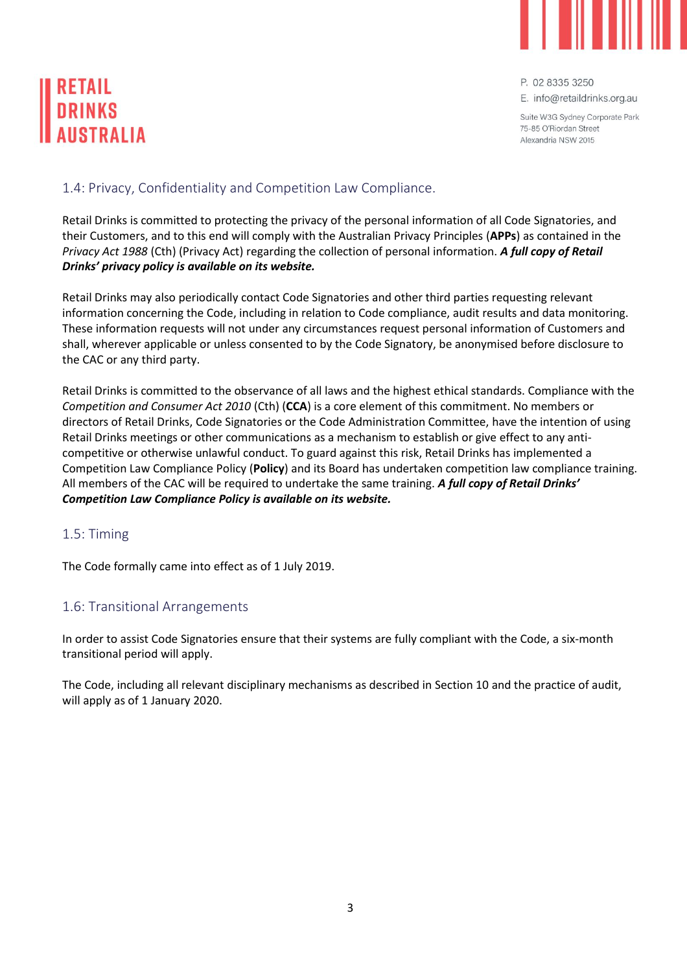

E. info@retaildrinks.org.au

Suite W3G Sydney Corporate Park 75-85 O'Biordan Street Alexandria NSW 2015

#### <span id="page-4-0"></span>1.4: Privacy, Confidentiality and Competition Law Compliance.

Retail Drinks is committed to protecting the privacy of the personal information of all Code Signatories, and their Customers, and to this end will comply with the Australian Privacy Principles (**APPs**) as contained in the *Privacy Act 1988* (Cth) (Privacy Act) regarding the collection of personal information. *A full copy of Retail Drinks' privacy policy is available on its website.* 

Retail Drinks may also periodically contact Code Signatories and other third parties requesting relevant information concerning the Code, including in relation to Code compliance, audit results and data monitoring. These information requests will not under any circumstances request personal information of Customers and shall, wherever applicable or unless consented to by the Code Signatory, be anonymised before disclosure to the CAC or any third party.

Retail Drinks is committed to the observance of all laws and the highest ethical standards. Compliance with the *Competition and Consumer Act 2010* (Cth) (**CCA**) is a core element of this commitment. No members or directors of Retail Drinks, Code Signatories or the Code Administration Committee, have the intention of using Retail Drinks meetings or other communications as a mechanism to establish or give effect to any anticompetitive or otherwise unlawful conduct. To guard against this risk, Retail Drinks has implemented a Competition Law Compliance Policy (**Policy**) and its Board has undertaken competition law compliance training. All members of the CAC will be required to undertake the same training. *A full copy of Retail Drinks' Competition Law Compliance Policy is available on its website.* 

#### <span id="page-4-1"></span>1.5: Timing

The Code formally came into effect as of 1 July 2019.

### <span id="page-4-2"></span>1.6: Transitional Arrangements

In order to assist Code Signatories ensure that their systems are fully compliant with the Code, a six-month transitional period will apply.

The Code, including all relevant disciplinary mechanisms as described in Section 10 and the practice of audit, will apply as of 1 January 2020.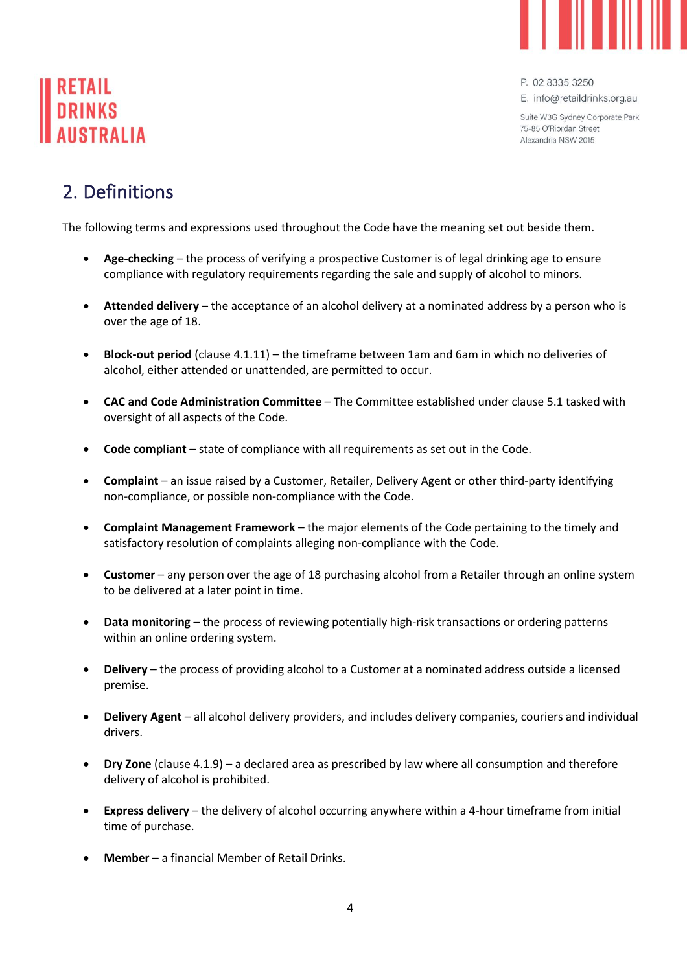

P. 02 8335 3250 E. info@retaildrinks.org.au

Suite W3G Sydney Corporate Park

75-85 O'Biordan Street Alexandria NSW 2015

# <span id="page-5-0"></span>2. Definitions

The following terms and expressions used throughout the Code have the meaning set out beside them.

- **Age-checking** the process of verifying a prospective Customer is of legal drinking age to ensure compliance with regulatory requirements regarding the sale and supply of alcohol to minors.
- **Attended delivery**  the acceptance of an alcohol delivery at a nominated address by a person who is over the age of 18.
- **Block-out period** (clause 4.1.11) the timeframe between 1am and 6am in which no deliveries of alcohol, either attended or unattended, are permitted to occur.
- **CAC and Code Administration Committee** The Committee established under clause 5.1 tasked with oversight of all aspects of the Code.
- **Code compliant** state of compliance with all requirements as set out in the Code.
- **Complaint** an issue raised by a Customer, Retailer, Delivery Agent or other third-party identifying non-compliance, or possible non-compliance with the Code.
- **Complaint Management Framework** the major elements of the Code pertaining to the timely and satisfactory resolution of complaints alleging non-compliance with the Code.
- **Customer** any person over the age of 18 purchasing alcohol from a Retailer through an online system to be delivered at a later point in time.
- **Data monitoring** the process of reviewing potentially high-risk transactions or ordering patterns within an online ordering system.
- **Delivery**  the process of providing alcohol to a Customer at a nominated address outside a licensed premise.
- **Delivery Agent**  all alcohol delivery providers, and includes delivery companies, couriers and individual drivers.
- **Dry Zone** (clause 4.1.9) a declared area as prescribed by law where all consumption and therefore delivery of alcohol is prohibited.
- **Express delivery** the delivery of alcohol occurring anywhere within a 4-hour timeframe from initial time of purchase.
- **Member**  a financial Member of Retail Drinks.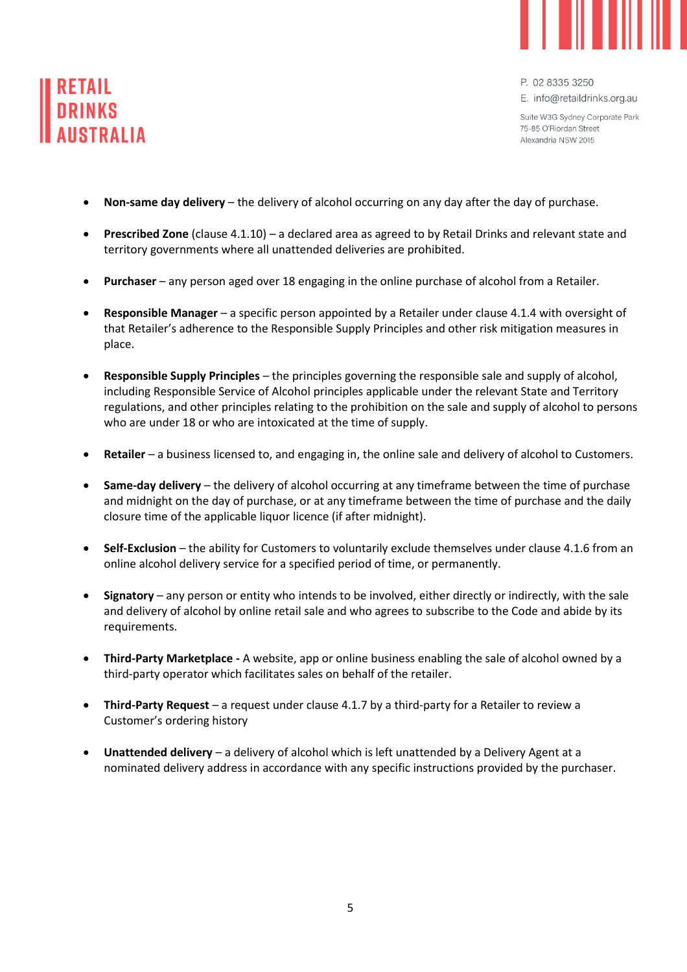



P. 02 8335 3250 E. info@retaildrinks.org.au

Suite W3G Sydney Corporate Park 75-85 O'Biordan Street Alexandria NSW 2015

- **Non-same day delivery** the delivery of alcohol occurring on any day after the day of purchase.
- **Prescribed Zone** (clause 4.1.10) a declared area as agreed to by Retail Drinks and relevant state and territory governments where all unattended deliveries are prohibited.
- **Purchaser** any person aged over 18 engaging in the online purchase of alcohol from a Retailer.
- **Responsible Manager** a specific person appointed by a Retailer under clause 4.1.4 with oversight of that Retailer's adherence to the Responsible Supply Principles and other risk mitigation measures in place.
- **Responsible Supply Principles** the principles governing the responsible sale and supply of alcohol, including Responsible Service of Alcohol principles applicable under the relevant State and Territory regulations, and other principles relating to the prohibition on the sale and supply of alcohol to persons who are under 18 or who are intoxicated at the time of supply.
- **Retailer** a business licensed to, and engaging in, the online sale and delivery of alcohol to Customers.
- **Same-day delivery** the delivery of alcohol occurring at any timeframe between the time of purchase and midnight on the day of purchase, or at any timeframe between the time of purchase and the daily closure time of the applicable liquor licence (if after midnight).
- Self-Exclusion the ability for Customers to voluntarily exclude themselves under clause 4.1.6 from an online alcohol delivery service for a specified period of time, or permanently.
- **Signatory**  any person or entity who intends to be involved, either directly or indirectly, with the sale and delivery of alcohol by online retail sale and who agrees to subscribe to the Code and abide by its requirements.
- **Third-Party Marketplace -** A website, app or online business enabling the sale of alcohol owned by a third-party operator which facilitates sales on behalf of the retailer.
- **Third-Party Request** a request under clause 4.1.7 by a third-party for a Retailer to review a Customer's ordering history
- **Unattended delivery**  a delivery of alcohol which is left unattended by a Delivery Agent at a nominated delivery address in accordance with any specific instructions provided by the purchaser.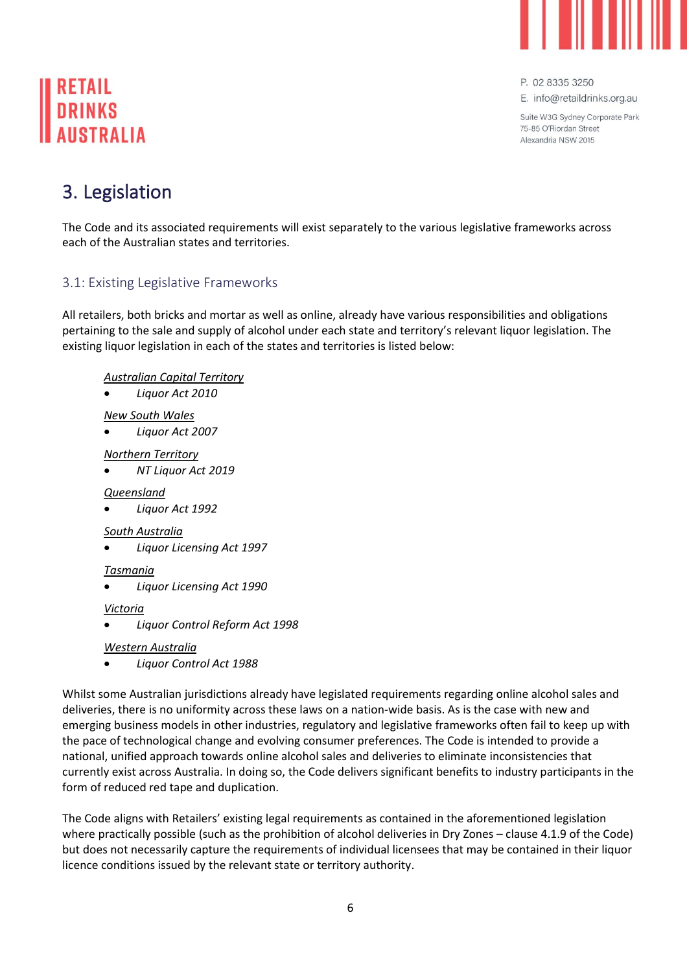

E. info@retaildrinks.org.au

Suite W3G Sydney Corporate Park 75-85 O'Biordan Street Alexandria NSW 2015

# <span id="page-7-0"></span>3. Legislation

The Code and its associated requirements will exist separately to the various legislative frameworks across each of the Australian states and territories.

## <span id="page-7-1"></span>3.1: Existing Legislative Frameworks

All retailers, both bricks and mortar as well as online, already have various responsibilities and obligations pertaining to the sale and supply of alcohol under each state and territory's relevant liquor legislation. The existing liquor legislation in each of the states and territories is listed below:

#### *Australian Capital Territory*

• *Liquor Act 2010* 

#### *New South Wales*

• *Liquor Act 2007*

#### *Northern Territory*

• *NT Liquor Act 2019*

#### *Queensland*

• *Liquor Act 1992*

#### *South Australia*

• *Liquor Licensing Act 1997*

#### *Tasmania*

• *Liquor Licensing Act 1990*

#### *Victoria*

• *Liquor Control Reform Act 1998*

*Western Australia*

• *Liquor Control Act 1988*

Whilst some Australian jurisdictions already have legislated requirements regarding online alcohol sales and deliveries, there is no uniformity across these laws on a nation-wide basis. As is the case with new and emerging business models in other industries, regulatory and legislative frameworks often fail to keep up with the pace of technological change and evolving consumer preferences. The Code is intended to provide a national, unified approach towards online alcohol sales and deliveries to eliminate inconsistencies that currently exist across Australia. In doing so, the Code delivers significant benefits to industry participants in the form of reduced red tape and duplication.

The Code aligns with Retailers' existing legal requirements as contained in the aforementioned legislation where practically possible (such as the prohibition of alcohol deliveries in Dry Zones – clause 4.1.9 of the Code) but does not necessarily capture the requirements of individual licensees that may be contained in their liquor licence conditions issued by the relevant state or territory authority.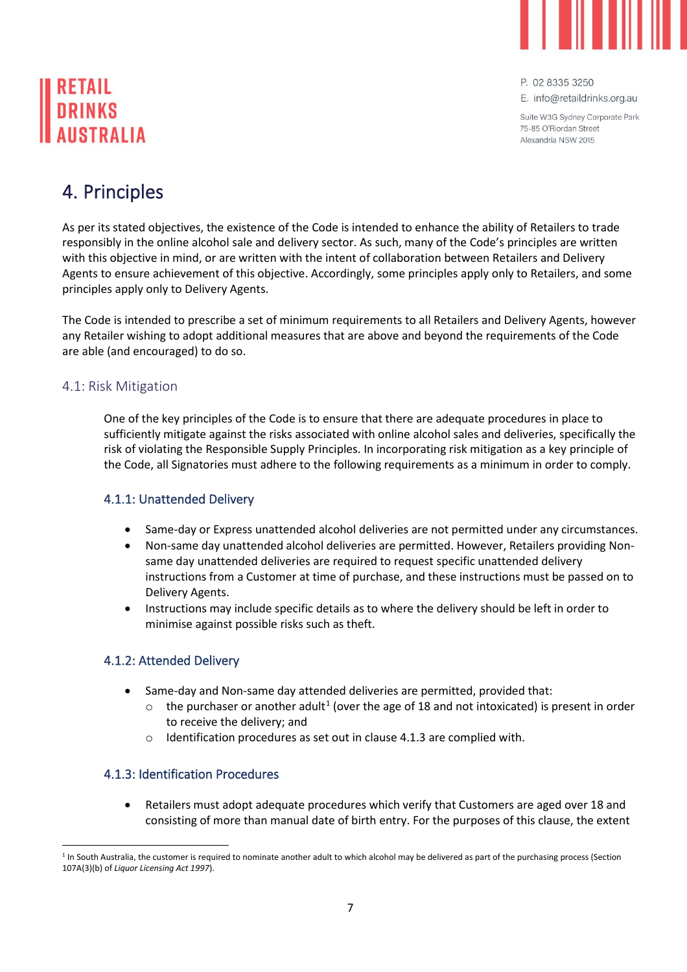

E. info@retaildrinks.org.au

Suite W3G Sydney Corporate Park 75-85 O'Biordan Street Alexandria NSW 2015

# <span id="page-8-0"></span>4. Principles

As per its stated objectives, the existence of the Code is intended to enhance the ability of Retailers to trade responsibly in the online alcohol sale and delivery sector. As such, many of the Code's principles are written with this objective in mind, or are written with the intent of collaboration between Retailers and Delivery Agents to ensure achievement of this objective. Accordingly, some principles apply only to Retailers, and some principles apply only to Delivery Agents.

The Code is intended to prescribe a set of minimum requirements to all Retailers and Delivery Agents, however any Retailer wishing to adopt additional measures that are above and beyond the requirements of the Code are able (and encouraged) to do so.

#### <span id="page-8-1"></span>4.1: Risk Mitigation

One of the key principles of the Code is to ensure that there are adequate procedures in place to sufficiently mitigate against the risks associated with online alcohol sales and deliveries, specifically the risk of violating the Responsible Supply Principles. In incorporating risk mitigation as a key principle of the Code, all Signatories must adhere to the following requirements as a minimum in order to comply.

#### <span id="page-8-2"></span>4.1.1: Unattended Delivery

- Same-day or Express unattended alcohol deliveries are not permitted under any circumstances.
- Non-same day unattended alcohol deliveries are permitted. However, Retailers providing Nonsame day unattended deliveries are required to request specific unattended delivery instructions from a Customer at time of purchase, and these instructions must be passed on to Delivery Agents.
- Instructions may include specific details as to where the delivery should be left in order to minimise against possible risks such as theft.

#### <span id="page-8-3"></span>4.1.2: Attended Delivery

- Same-day and Non-same day attended deliveries are permitted, provided that:
	- $\circ$  the purchaser or another adult<sup>1</sup> (over the age of 18 and not intoxicated) is present in order to receive the delivery; and
	- o Identification procedures as set out in clause 4.1.3 are complied with.

#### <span id="page-8-4"></span>4.1.3: Identification Procedures

• Retailers must adopt adequate procedures which verify that Customers are aged over 18 and consisting of more than manual date of birth entry. For the purposes of this clause, the extent

<sup>&</sup>lt;sup>1</sup> In South Australia, the customer is required to nominate another adult to which alcohol may be delivered as part of the purchasing process (Section 107A(3)(b) of *Liquor Licensing Act 1997*).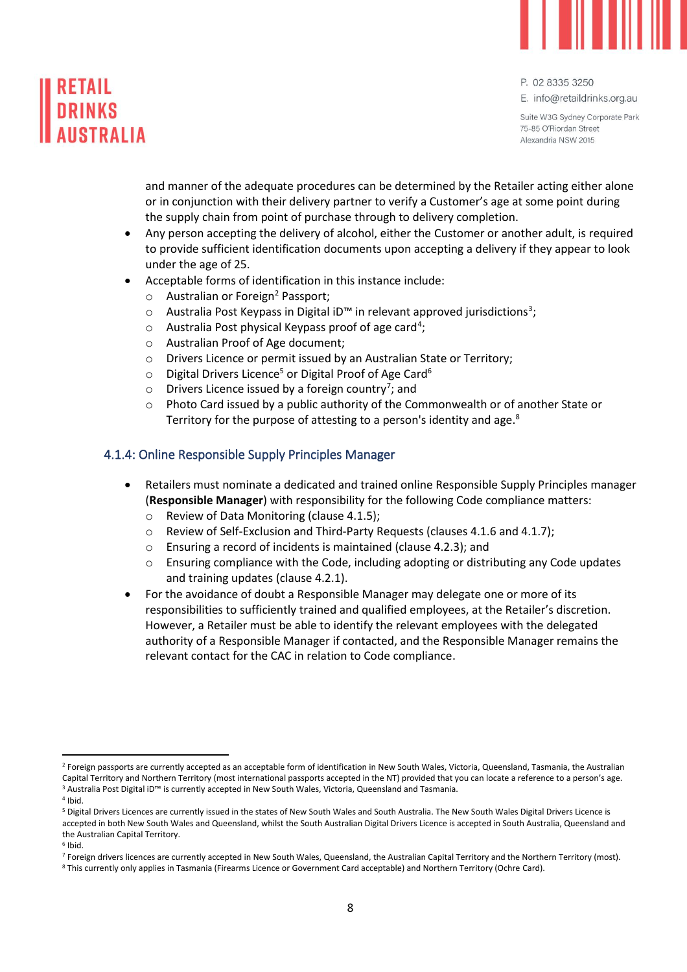

E. info@retaildrinks.org.au

Suite W3G Sydney Corporate Park 75-85 O'Biordan Street Alexandria NSW 2015

and manner of the adequate procedures can be determined by the Retailer acting either alone or in conjunction with their delivery partner to verify a Customer's age at some point during the supply chain from point of purchase through to delivery completion.

- Any person accepting the delivery of alcohol, either the Customer or another adult, is required to provide sufficient identification documents upon accepting a delivery if they appear to look under the age of 25.
- Acceptable forms of identification in this instance include:
	- o Australian or Foreign<sup>2</sup> Passport;
	- $\circ$  Australia Post Keypass in Digital iD™ in relevant approved jurisdictions<sup>3</sup>;
	- o Australia Post physical Keypass proof of age card<sup>4</sup>;
	- o Australian Proof of Age document;
	- o Drivers Licence or permit issued by an Australian State or Territory;
	- $\circ$  Digital Drivers Licence<sup>5</sup> or Digital Proof of Age Card<sup>6</sup>
	- o Drivers Licence issued by a foreign country<sup>7</sup>; and
	- $\circ$  Photo Card issued by a public authority of the Commonwealth or of another State or Territory for the purpose of attesting to a person's identity and age. $^8$

#### <span id="page-9-0"></span>4.1.4: Online Responsible Supply Principles Manager

- Retailers must nominate a dedicated and trained online Responsible Supply Principles manager (**Responsible Manager**) with responsibility for the following Code compliance matters:
	- o Review of Data Monitoring (clause 4.1.5);
	- o Review of Self-Exclusion and Third-Party Requests (clauses 4.1.6 and 4.1.7);
	- o Ensuring a record of incidents is maintained (clause 4.2.3); and
	- Ensuring compliance with the Code, including adopting or distributing any Code updates and training updates (clause 4.2.1).
- For the avoidance of doubt a Responsible Manager may delegate one or more of its responsibilities to sufficiently trained and qualified employees, at the Retailer's discretion. However, a Retailer must be able to identify the relevant employees with the delegated authority of a Responsible Manager if contacted, and the Responsible Manager remains the relevant contact for the CAC in relation to Code compliance.

4 Ibid.

<sup>&</sup>lt;sup>2</sup> Foreign passports are currently accepted as an acceptable form of identification in New South Wales, Victoria, Queensland, Tasmania, the Australian Capital Territory and Northern Territory (most international passports accepted in the NT) provided that you can locate a reference to a person's age. <sup>3</sup> Australia Post Digital iD™ is currently accepted in New South Wales, Victoria, Queensland and Tasmania.

<sup>5</sup> Digital Drivers Licences are currently issued in the states of New South Wales and South Australia. The New South Wales Digital Drivers Licence is accepted in both New South Wales and Queensland, whilst the South Australian Digital Drivers Licence is accepted in South Australia, Queensland and the Australian Capital Territory.

<sup>6</sup> Ibid.

<sup>7</sup> Foreign drivers licences are currently accepted in New South Wales, Queensland, the Australian Capital Territory and the Northern Territory (most).

<sup>8</sup> This currently only applies in Tasmania (Firearms Licence or Government Card acceptable) and Northern Territory (Ochre Card).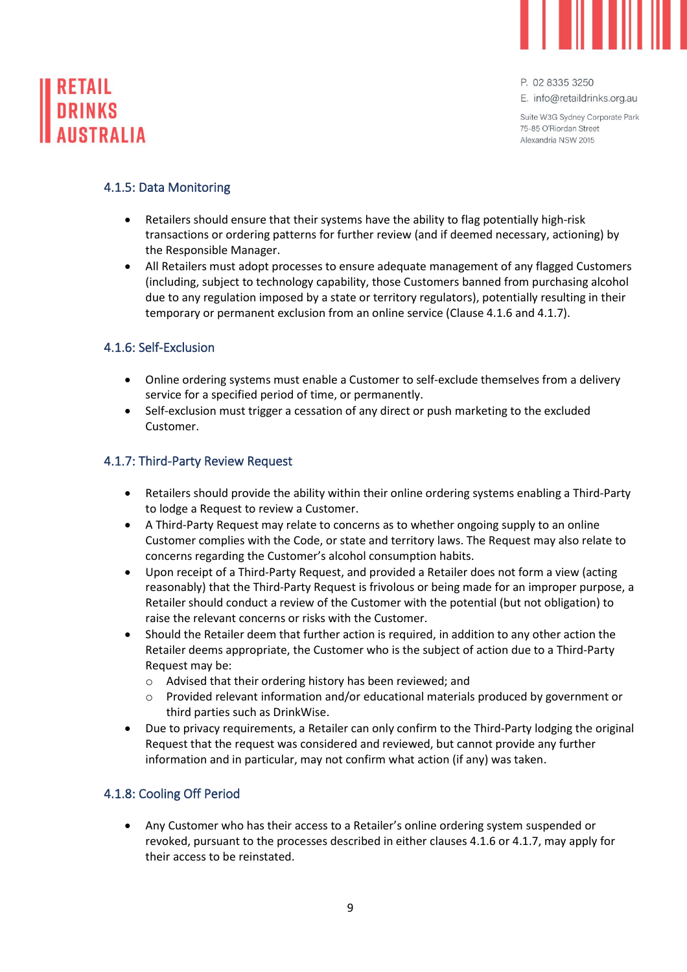

# **DRINKS**

P. 02 8335 3250

E. info@retaildrinks.org.au

Suite W3G Sydney Corporate Park 75-85 O'Biordan Street Alexandria NSW 2015

#### <span id="page-10-0"></span>4.1.5: Data Monitoring

- Retailers should ensure that their systems have the ability to flag potentially high-risk transactions or ordering patterns for further review (and if deemed necessary, actioning) by the Responsible Manager.
- All Retailers must adopt processes to ensure adequate management of any flagged Customers (including, subject to technology capability, those Customers banned from purchasing alcohol due to any regulation imposed by a state or territory regulators), potentially resulting in their temporary or permanent exclusion from an online service (Clause 4.1.6 and 4.1.7).

#### <span id="page-10-1"></span>4.1.6: Self-Exclusion

- Online ordering systems must enable a Customer to self-exclude themselves from a delivery service for a specified period of time, or permanently.
- Self-exclusion must trigger a cessation of any direct or push marketing to the excluded Customer.

#### <span id="page-10-2"></span>4.1.7: Third-Party Review Request

- Retailers should provide the ability within their online ordering systems enabling a Third-Party to lodge a Request to review a Customer.
- A Third-Party Request may relate to concerns as to whether ongoing supply to an online Customer complies with the Code, or state and territory laws. The Request may also relate to concerns regarding the Customer's alcohol consumption habits.
- Upon receipt of a Third-Party Request, and provided a Retailer does not form a view (acting reasonably) that the Third-Party Request is frivolous or being made for an improper purpose, a Retailer should conduct a review of the Customer with the potential (but not obligation) to raise the relevant concerns or risks with the Customer.
- Should the Retailer deem that further action is required, in addition to any other action the Retailer deems appropriate, the Customer who is the subject of action due to a Third-Party Request may be:
	- o Advised that their ordering history has been reviewed; and
	- o Provided relevant information and/or educational materials produced by government or third parties such as DrinkWise.
- Due to privacy requirements, a Retailer can only confirm to the Third-Party lodging the original Request that the request was considered and reviewed, but cannot provide any further information and in particular, may not confirm what action (if any) was taken.

#### <span id="page-10-3"></span>4.1.8: Cooling Off Period

• Any Customer who has their access to a Retailer's online ordering system suspended or revoked, pursuant to the processes described in either clauses 4.1.6 or 4.1.7, may apply for their access to be reinstated.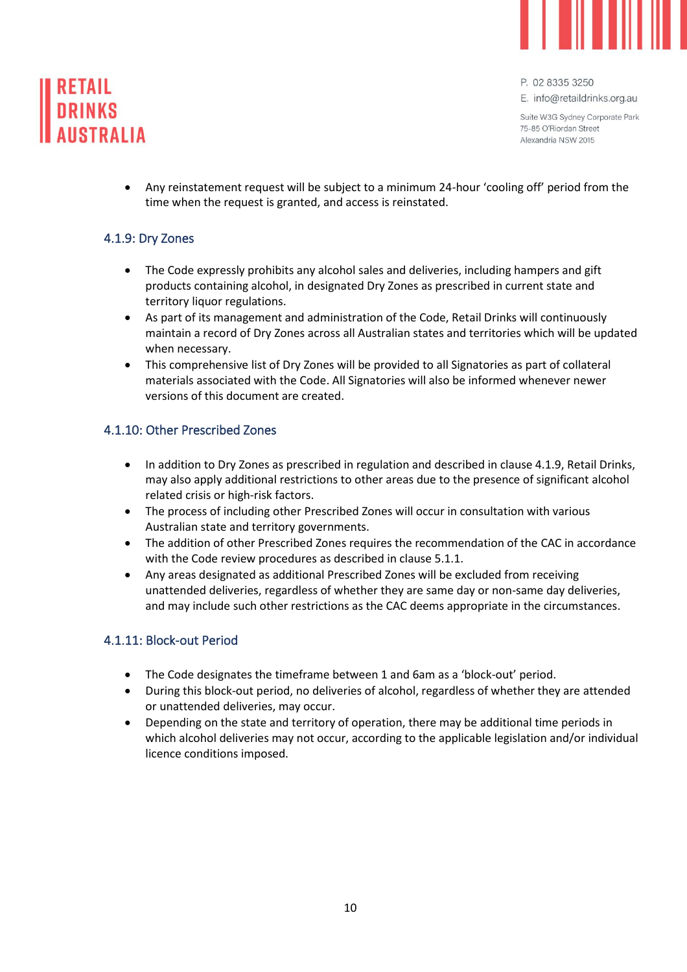



E. info@retaildrinks.org.au

Suite W3G Sydney Corporate Park 75-85 O'Biordan Street Alexandria NSW 2015

• Any reinstatement request will be subject to a minimum 24-hour 'cooling off' period from the time when the request is granted, and access is reinstated.

#### <span id="page-11-0"></span>4.1.9: Dry Zones

- The Code expressly prohibits any alcohol sales and deliveries, including hampers and gift products containing alcohol, in designated Dry Zones as prescribed in current state and territory liquor regulations.
- As part of its management and administration of the Code, Retail Drinks will continuously maintain a record of Dry Zones across all Australian states and territories which will be updated when necessary.
- This comprehensive list of Dry Zones will be provided to all Signatories as part of collateral materials associated with the Code. All Signatories will also be informed whenever newer versions of this document are created.

#### <span id="page-11-1"></span>4.1.10: Other Prescribed Zones

- In addition to Dry Zones as prescribed in regulation and described in clause 4.1.9, Retail Drinks, may also apply additional restrictions to other areas due to the presence of significant alcohol related crisis or high-risk factors.
- The process of including other Prescribed Zones will occur in consultation with various Australian state and territory governments.
- The addition of other Prescribed Zones requires the recommendation of the CAC in accordance with the Code review procedures as described in clause 5.1.1.
- Any areas designated as additional Prescribed Zones will be excluded from receiving unattended deliveries, regardless of whether they are same day or non-same day deliveries, and may include such other restrictions as the CAC deems appropriate in the circumstances.

#### <span id="page-11-2"></span>4.1.11: Block-out Period

- The Code designates the timeframe between 1 and 6am as a 'block-out' period.
- During this block-out period, no deliveries of alcohol, regardless of whether they are attended or unattended deliveries, may occur.
- Depending on the state and territory of operation, there may be additional time periods in which alcohol deliveries may not occur, according to the applicable legislation and/or individual licence conditions imposed.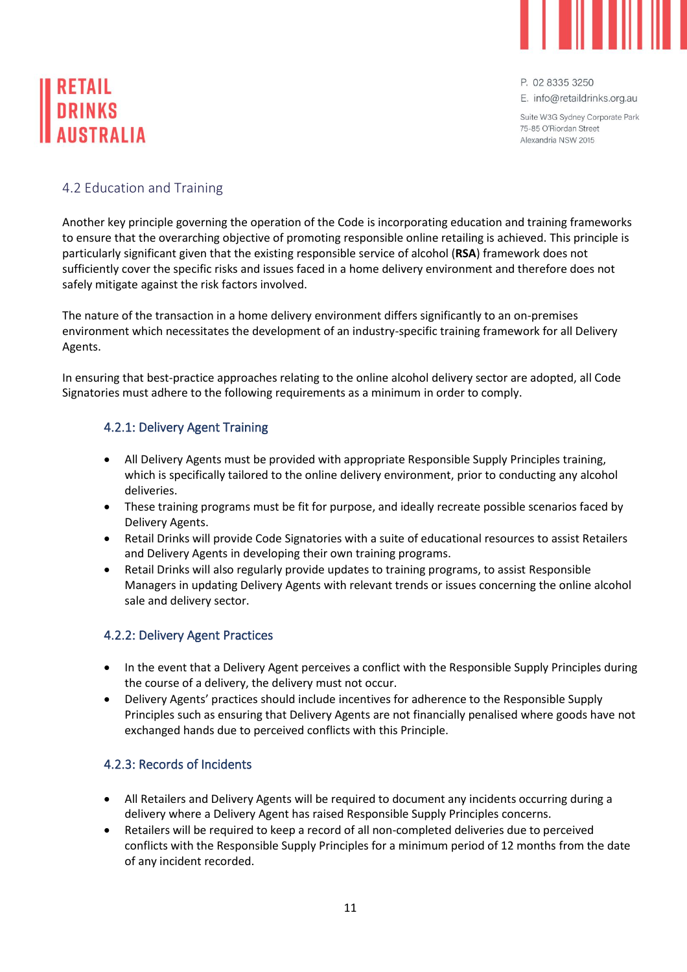

E. info@retaildrinks.org.au

Suite W3G Sydney Corporate Park 75-85 O'Biordan Street Alexandria NSW 2015

### <span id="page-12-0"></span>4.2 Education and Training

Another key principle governing the operation of the Code is incorporating education and training frameworks to ensure that the overarching objective of promoting responsible online retailing is achieved. This principle is particularly significant given that the existing responsible service of alcohol (**RSA**) framework does not sufficiently cover the specific risks and issues faced in a home delivery environment and therefore does not safely mitigate against the risk factors involved.

The nature of the transaction in a home delivery environment differs significantly to an on-premises environment which necessitates the development of an industry-specific training framework for all Delivery Agents.

In ensuring that best-practice approaches relating to the online alcohol delivery sector are adopted, all Code Signatories must adhere to the following requirements as a minimum in order to comply.

#### <span id="page-12-1"></span>4.2.1: Delivery Agent Training

- All Delivery Agents must be provided with appropriate Responsible Supply Principles training, which is specifically tailored to the online delivery environment, prior to conducting any alcohol deliveries.
- These training programs must be fit for purpose, and ideally recreate possible scenarios faced by Delivery Agents.
- Retail Drinks will provide Code Signatories with a suite of educational resources to assist Retailers and Delivery Agents in developing their own training programs.
- Retail Drinks will also regularly provide updates to training programs, to assist Responsible Managers in updating Delivery Agents with relevant trends or issues concerning the online alcohol sale and delivery sector.

#### <span id="page-12-2"></span>4.2.2: Delivery Agent Practices

- In the event that a Delivery Agent perceives a conflict with the Responsible Supply Principles during the course of a delivery, the delivery must not occur.
- Delivery Agents' practices should include incentives for adherence to the Responsible Supply Principles such as ensuring that Delivery Agents are not financially penalised where goods have not exchanged hands due to perceived conflicts with this Principle.

#### <span id="page-12-3"></span>4.2.3: Records of Incidents

- All Retailers and Delivery Agents will be required to document any incidents occurring during a delivery where a Delivery Agent has raised Responsible Supply Principles concerns.
- Retailers will be required to keep a record of all non-completed deliveries due to perceived conflicts with the Responsible Supply Principles for a minimum period of 12 months from the date of any incident recorded.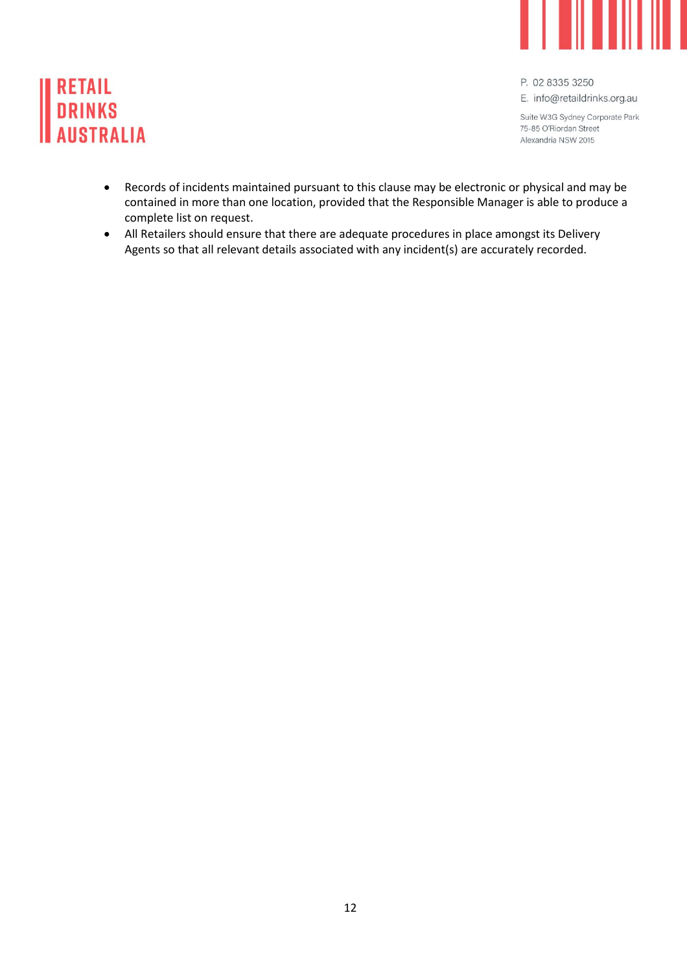

# **RETAIL<br>DRINKS AUSTRALIA**

P. 02 8335 3250

E. info@retaildrinks.org.au

Suite W3G Sydney Corporate Park 75-85 O'Riordan Street Alexandria NSW 2015

- Records of incidents maintained pursuant to this clause may be electronic or physical and may be contained in more than one location, provided that the Responsible Manager is able to produce a complete list on request.
- All Retailers should ensure that there are adequate procedures in place amongst its Delivery Agents so that all relevant details associated with any incident(s) are accurately recorded.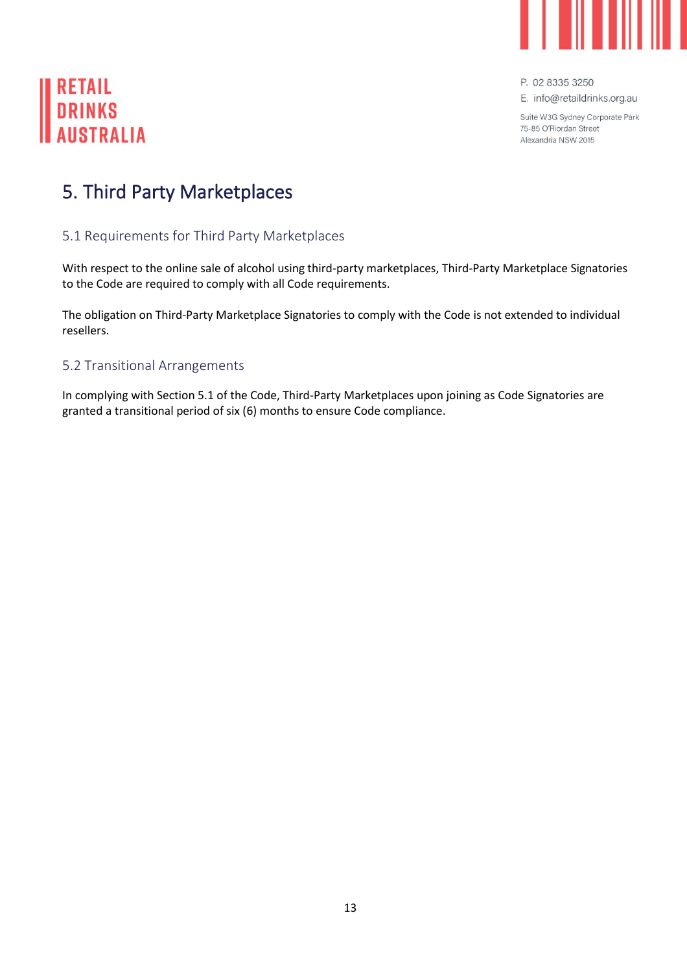

E. info@retaildrinks.org.au

Suite W3G Sydney Corporate Park 75-85 O'Riordan Street Alexandria NSW 2015

# **RETAIL DRINKS AIISTRALIA**

## <span id="page-14-0"></span>5. Third Party Marketplaces

## <span id="page-14-1"></span>5.1 Requirements for Third Party Marketplaces

With respect to the online sale of alcohol using third-party marketplaces, Third-Party Marketplace Signatories to the Code are required to comply with all Code requirements.

The obligation on Third-Party Marketplace Signatories to comply with the Code is not extended to individual resellers.

#### <span id="page-14-2"></span>5.2 Transitional Arrangements

In complying with Section 5.1 of the Code, Third-Party Marketplaces upon joining as Code Signatories are granted a transitional period of six (6) months to ensure Code compliance.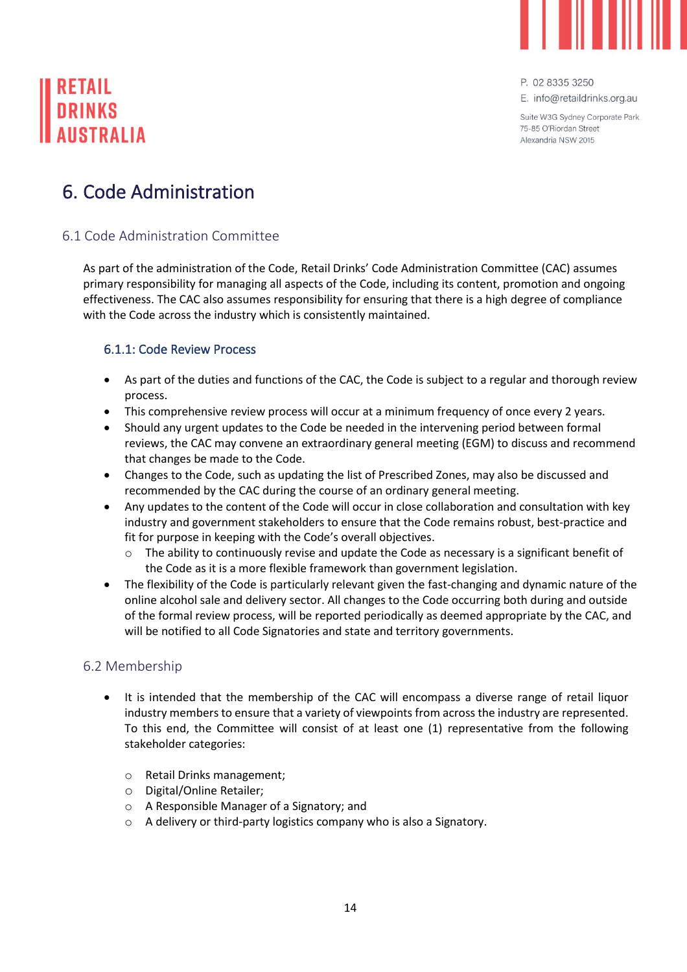

E. info@retaildrinks.org.au

Suite W3G Sydney Corporate Park 75-85 O'Biordan Street Alexandria NSW 2015

## <span id="page-15-0"></span>6. Code Administration

## <span id="page-15-1"></span>6.1 Code Administration Committee

As part of the administration of the Code, Retail Drinks' Code Administration Committee (CAC) assumes primary responsibility for managing all aspects of the Code, including its content, promotion and ongoing effectiveness. The CAC also assumes responsibility for ensuring that there is a high degree of compliance with the Code across the industry which is consistently maintained.

### <span id="page-15-2"></span>6.1.1: Code Review Process

- As part of the duties and functions of the CAC, the Code is subject to a regular and thorough review process.
- This comprehensive review process will occur at a minimum frequency of once every 2 years.
- Should any urgent updates to the Code be needed in the intervening period between formal reviews, the CAC may convene an extraordinary general meeting (EGM) to discuss and recommend that changes be made to the Code.
- Changes to the Code, such as updating the list of Prescribed Zones, may also be discussed and recommended by the CAC during the course of an ordinary general meeting.
- Any updates to the content of the Code will occur in close collaboration and consultation with key industry and government stakeholders to ensure that the Code remains robust, best-practice and fit for purpose in keeping with the Code's overall objectives.
	- o The ability to continuously revise and update the Code as necessary is a significant benefit of the Code as it is a more flexible framework than government legislation.
- The flexibility of the Code is particularly relevant given the fast-changing and dynamic nature of the online alcohol sale and delivery sector. All changes to the Code occurring both during and outside of the formal review process, will be reported periodically as deemed appropriate by the CAC, and will be notified to all Code Signatories and state and territory governments.

### <span id="page-15-3"></span>6.2 Membership

- It is intended that the membership of the CAC will encompass a diverse range of retail liquor industry members to ensure that a variety of viewpoints from across the industry are represented. To this end, the Committee will consist of at least one (1) representative from the following stakeholder categories:
	- o Retail Drinks management;
	- o Digital/Online Retailer;
	- o A Responsible Manager of a Signatory; and
	- o A delivery or third-party logistics company who is also a Signatory.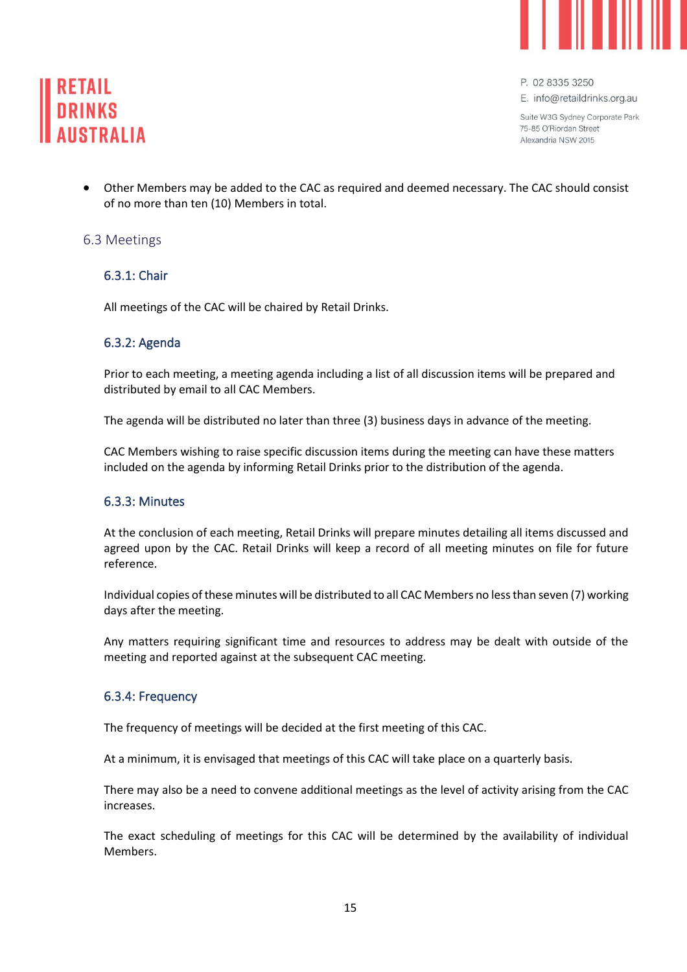



E. info@retaildrinks.org.au

Suite W3G Sydney Corporate Park 75-85 O'Biordan Street Alexandria NSW 2015

• Other Members may be added to the CAC as required and deemed necessary. The CAC should consist of no more than ten (10) Members in total.

#### <span id="page-16-1"></span><span id="page-16-0"></span>6.3 Meetings

#### 6.3.1: Chair

All meetings of the CAC will be chaired by Retail Drinks.

#### <span id="page-16-2"></span>6.3.2: Agenda

Prior to each meeting, a meeting agenda including a list of all discussion items will be prepared and distributed by email to all CAC Members.

The agenda will be distributed no later than three (3) business days in advance of the meeting.

CAC Members wishing to raise specific discussion items during the meeting can have these matters included on the agenda by informing Retail Drinks prior to the distribution of the agenda.

#### <span id="page-16-3"></span>6.3.3: Minutes

At the conclusion of each meeting, Retail Drinks will prepare minutes detailing all items discussed and agreed upon by the CAC. Retail Drinks will keep a record of all meeting minutes on file for future reference.

Individual copies of these minutes will be distributed to all CAC Members no less than seven (7) working days after the meeting.

Any matters requiring significant time and resources to address may be dealt with outside of the meeting and reported against at the subsequent CAC meeting.

#### <span id="page-16-4"></span>6.3.4: Frequency

The frequency of meetings will be decided at the first meeting of this CAC.

At a minimum, it is envisaged that meetings of this CAC will take place on a quarterly basis.

There may also be a need to convene additional meetings as the level of activity arising from the CAC increases.

The exact scheduling of meetings for this CAC will be determined by the availability of individual Members.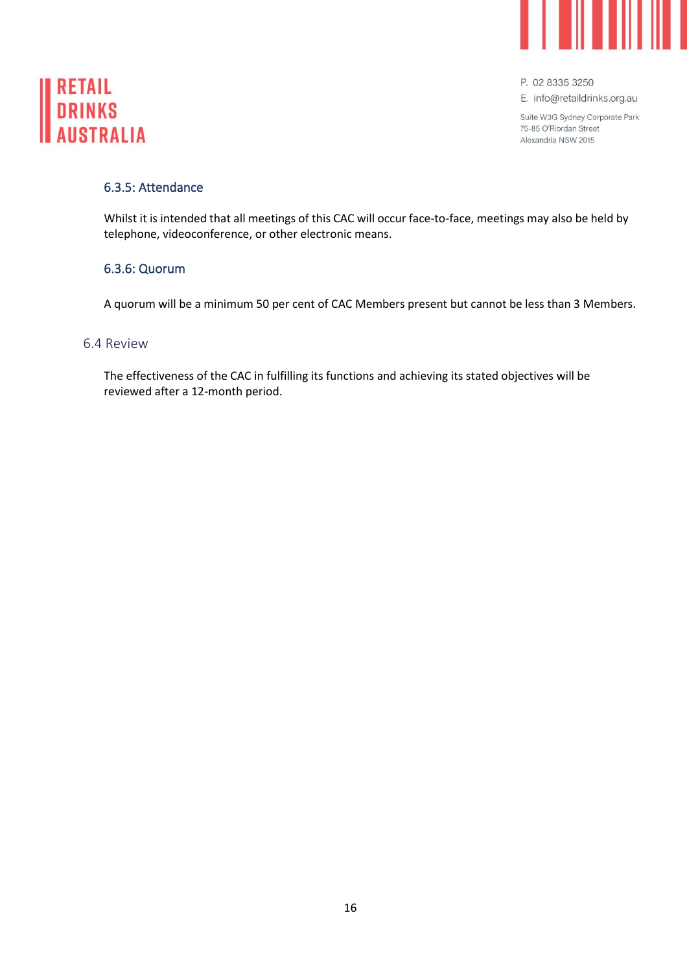



E. info@retaildrinks.org.au

Suite W3G Sydney Corporate Park 75-85 O'Riordan Street Alexandria NSW 2015

#### <span id="page-17-0"></span>6.3.5: Attendance

Whilst it is intended that all meetings of this CAC will occur face-to-face, meetings may also be held by telephone, videoconference, or other electronic means.

#### <span id="page-17-1"></span>6.3.6: Quorum

A quorum will be a minimum 50 per cent of CAC Members present but cannot be less than 3 Members.

#### <span id="page-17-2"></span>6.4 Review

The effectiveness of the CAC in fulfilling its functions and achieving its stated objectives will be reviewed after a 12-month period.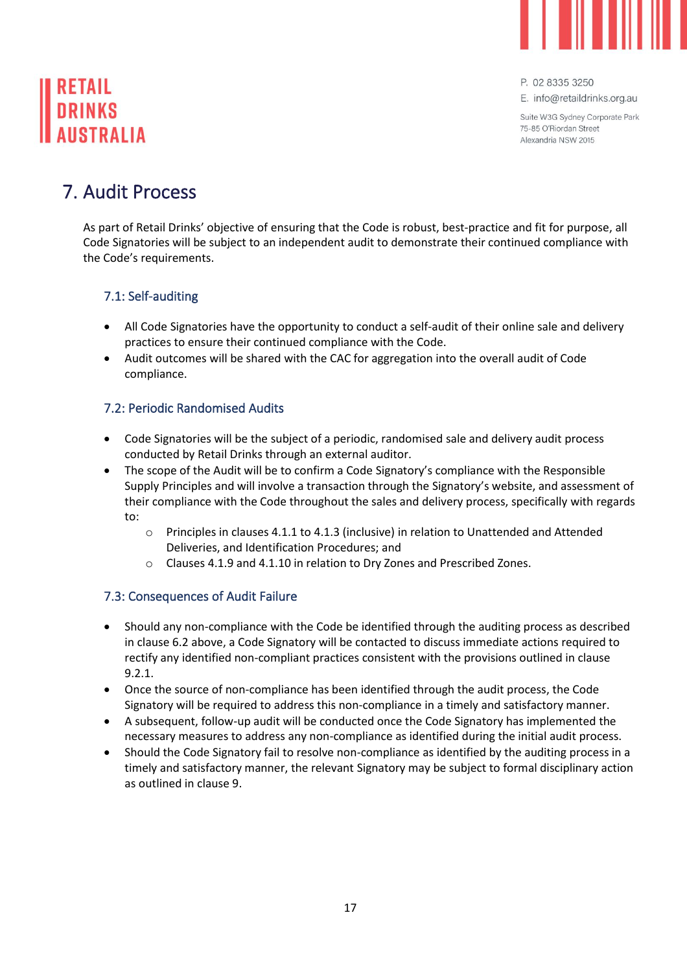

E. info@retaildrinks.org.au

Suite W3G Sydney Corporate Park 75-85 O'Biordan Street Alexandria NSW 2015

## <span id="page-18-0"></span>7. Audit Process

As part of Retail Drinks' objective of ensuring that the Code is robust, best-practice and fit for purpose, all Code Signatories will be subject to an independent audit to demonstrate their continued compliance with the Code's requirements.

## <span id="page-18-1"></span>7.1: Self-auditing

- All Code Signatories have the opportunity to conduct a self-audit of their online sale and delivery practices to ensure their continued compliance with the Code.
- Audit outcomes will be shared with the CAC for aggregation into the overall audit of Code compliance.

## <span id="page-18-2"></span>7.2: Periodic Randomised Audits

- Code Signatories will be the subject of a periodic, randomised sale and delivery audit process conducted by Retail Drinks through an external auditor.
- The scope of the Audit will be to confirm a Code Signatory's compliance with the Responsible Supply Principles and will involve a transaction through the Signatory's website, and assessment of their compliance with the Code throughout the sales and delivery process, specifically with regards to:
	- o Principles in clauses 4.1.1 to 4.1.3 (inclusive) in relation to Unattended and Attended Deliveries, and Identification Procedures; and
	- o Clauses 4.1.9 and 4.1.10 in relation to Dry Zones and Prescribed Zones.

## <span id="page-18-3"></span>7.3: Consequences of Audit Failure

- Should any non-compliance with the Code be identified through the auditing process as described in clause 6.2 above, a Code Signatory will be contacted to discuss immediate actions required to rectify any identified non-compliant practices consistent with the provisions outlined in clause 9.2.1.
- Once the source of non-compliance has been identified through the audit process, the Code Signatory will be required to address this non-compliance in a timely and satisfactory manner.
- A subsequent, follow-up audit will be conducted once the Code Signatory has implemented the necessary measures to address any non-compliance as identified during the initial audit process.
- Should the Code Signatory fail to resolve non-compliance as identified by the auditing process in a timely and satisfactory manner, the relevant Signatory may be subject to formal disciplinary action as outlined in clause 9.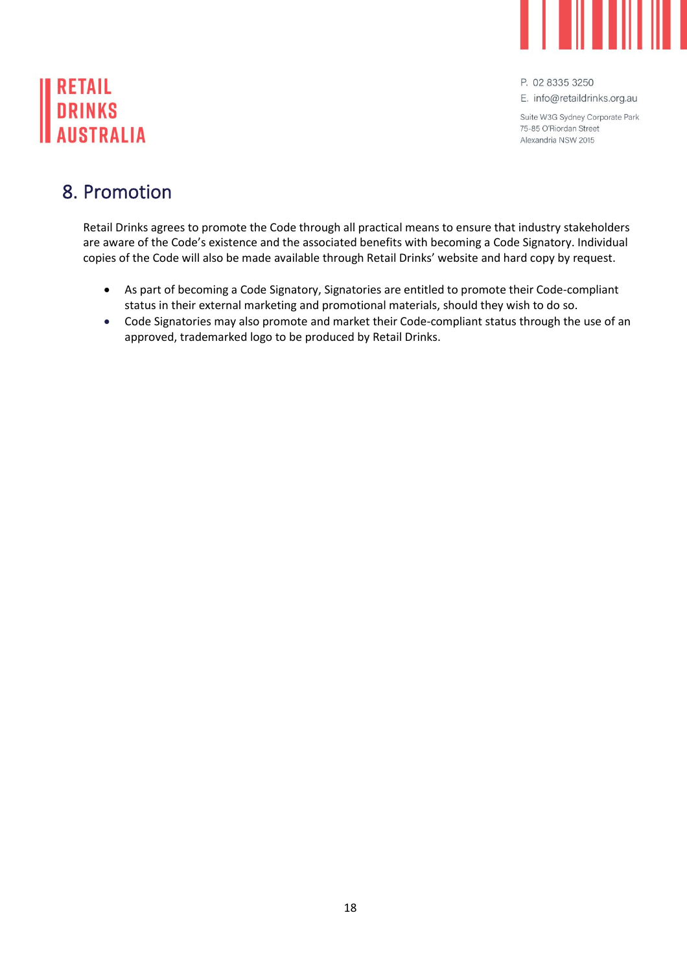

# **RETAIL DRINKS AIISTRALIA**

P. 02 8335 3250

E. info@retaildrinks.org.au

Suite W3G Sydney Corporate Park 75-85 O'Riordan Street Alexandria NSW 2015

## <span id="page-19-0"></span>8. Promotion

Retail Drinks agrees to promote the Code through all practical means to ensure that industry stakeholders are aware of the Code's existence and the associated benefits with becoming a Code Signatory. Individual copies of the Code will also be made available through Retail Drinks' website and hard copy by request.

- As part of becoming a Code Signatory, Signatories are entitled to promote their Code-compliant status in their external marketing and promotional materials, should they wish to do so.
- Code Signatories may also promote and market their Code-compliant status through the use of an approved, trademarked logo to be produced by Retail Drinks.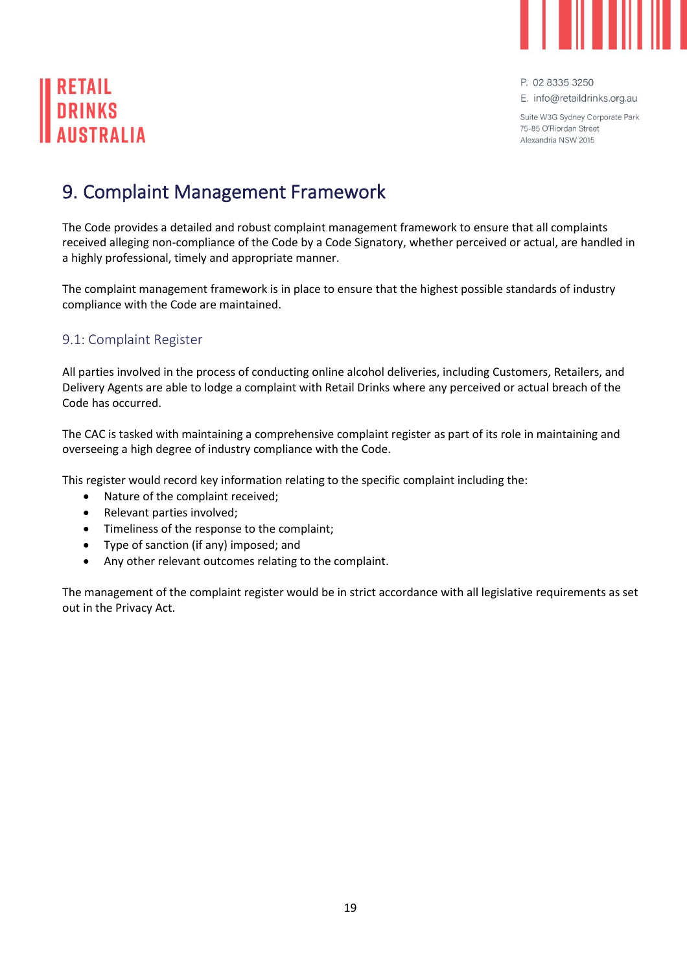

# **DRINKS**

P. 02 8335 3250

E. info@retaildrinks.org.au

Suite W3G Sydney Corporate Park 75-85 O'Biordan Street Alexandria NSW 2015

# <span id="page-20-0"></span>9. Complaint Management Framework

The Code provides a detailed and robust complaint management framework to ensure that all complaints received alleging non-compliance of the Code by a Code Signatory, whether perceived or actual, are handled in a highly professional, timely and appropriate manner.

The complaint management framework is in place to ensure that the highest possible standards of industry compliance with the Code are maintained.

#### <span id="page-20-1"></span>9.1: Complaint Register

All parties involved in the process of conducting online alcohol deliveries, including Customers, Retailers, and Delivery Agents are able to lodge a complaint with Retail Drinks where any perceived or actual breach of the Code has occurred.

The CAC is tasked with maintaining a comprehensive complaint register as part of its role in maintaining and overseeing a high degree of industry compliance with the Code.

This register would record key information relating to the specific complaint including the:

- Nature of the complaint received;
- Relevant parties involved;
- Timeliness of the response to the complaint;
- Type of sanction (if any) imposed; and
- Any other relevant outcomes relating to the complaint.

The management of the complaint register would be in strict accordance with all legislative requirements as set out in the Privacy Act.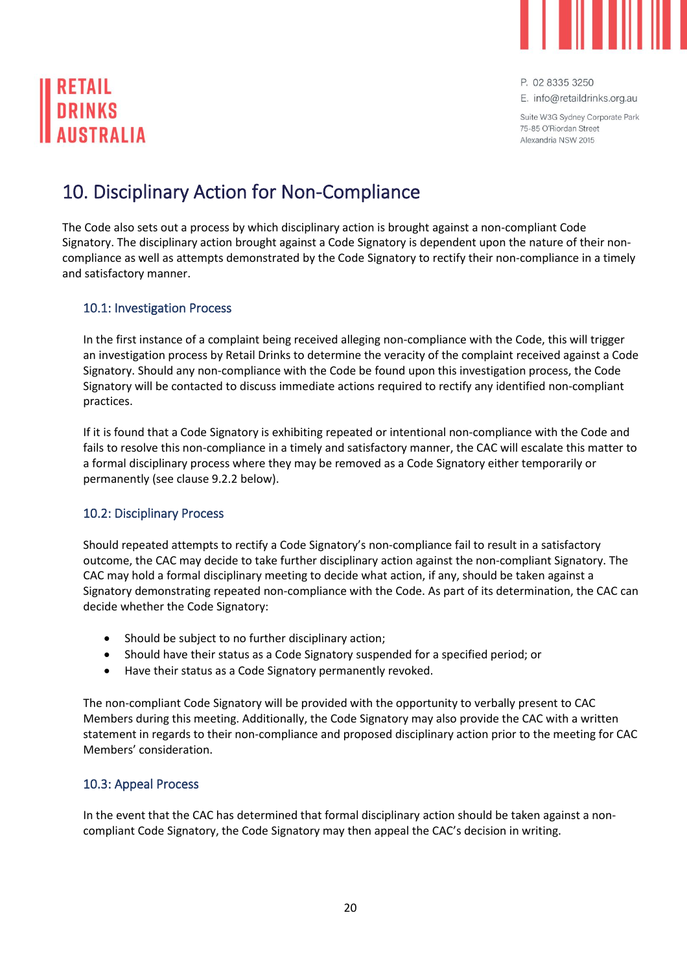

E. info@retaildrinks.org.au

Suite W3G Sydney Corporate Park 75-85 O'Riordan Street Alexandria NSW 2015

# <span id="page-21-0"></span>10. Disciplinary Action for Non-Compliance

The Code also sets out a process by which disciplinary action is brought against a non-compliant Code Signatory. The disciplinary action brought against a Code Signatory is dependent upon the nature of their noncompliance as well as attempts demonstrated by the Code Signatory to rectify their non-compliance in a timely and satisfactory manner.

#### <span id="page-21-1"></span>10.1: Investigation Process

In the first instance of a complaint being received alleging non-compliance with the Code, this will trigger an investigation process by Retail Drinks to determine the veracity of the complaint received against a Code Signatory. Should any non-compliance with the Code be found upon this investigation process, the Code Signatory will be contacted to discuss immediate actions required to rectify any identified non-compliant practices.

If it is found that a Code Signatory is exhibiting repeated or intentional non-compliance with the Code and fails to resolve this non-compliance in a timely and satisfactory manner, the CAC will escalate this matter to a formal disciplinary process where they may be removed as a Code Signatory either temporarily or permanently (see clause 9.2.2 below).

#### <span id="page-21-2"></span>10.2: Disciplinary Process

Should repeated attempts to rectify a Code Signatory's non-compliance fail to result in a satisfactory outcome, the CAC may decide to take further disciplinary action against the non-compliant Signatory. The CAC may hold a formal disciplinary meeting to decide what action, if any, should be taken against a Signatory demonstrating repeated non-compliance with the Code. As part of its determination, the CAC can decide whether the Code Signatory:

- Should be subject to no further disciplinary action;
- Should have their status as a Code Signatory suspended for a specified period; or
- Have their status as a Code Signatory permanently revoked.

The non-compliant Code Signatory will be provided with the opportunity to verbally present to CAC Members during this meeting. Additionally, the Code Signatory may also provide the CAC with a written statement in regards to their non-compliance and proposed disciplinary action prior to the meeting for CAC Members' consideration.

#### <span id="page-21-3"></span>10.3: Appeal Process

In the event that the CAC has determined that formal disciplinary action should be taken against a noncompliant Code Signatory, the Code Signatory may then appeal the CAC's decision in writing.